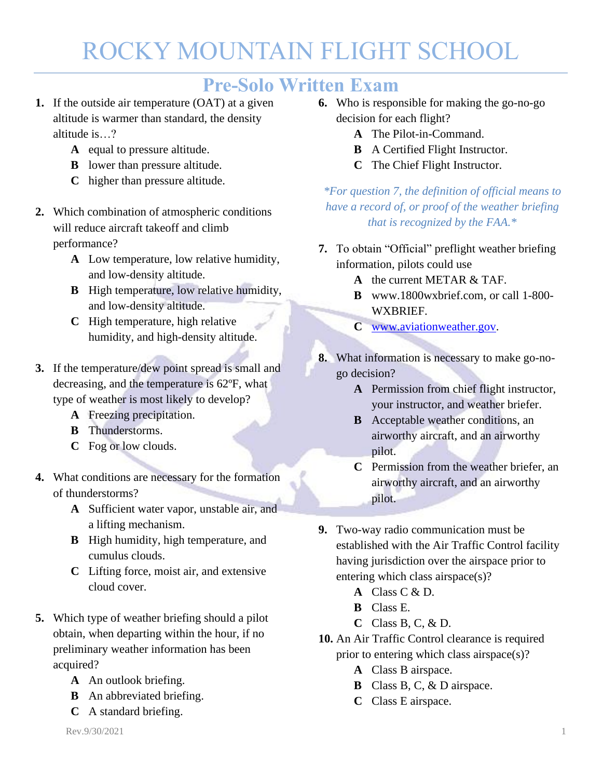#### **Pre-Solo Written Exam**

- **1.** If the outside air temperature (OAT) at a given altitude is warmer than standard, the density altitude is…?
	- **A** equal to pressure altitude.
	- **B** lower than pressure altitude.
	- **C** higher than pressure altitude.
- **2.** Which combination of atmospheric conditions will reduce aircraft takeoff and climb performance?
	- **A** Low temperature, low relative humidity, and low-density altitude.
	- **B** High temperature, low relative humidity, and low-density altitude.
	- **C** High temperature, high relative humidity, and high-density altitude.
- **3.** If the temperature/dew point spread is small and decreasing, and the temperature is 62ºF, what type of weather is most likely to develop?
	- **A** Freezing precipitation.
	- **B** Thunderstorms.
	- **C** Fog or low clouds.
- **4.** What conditions are necessary for the formation of thunderstorms?
	- **A** Sufficient water vapor, unstable air, and a lifting mechanism.
	- **B** High humidity, high temperature, and cumulus clouds.
	- **C** Lifting force, moist air, and extensive cloud cover.
- **5.** Which type of weather briefing should a pilot obtain, when departing within the hour, if no preliminary weather information has been acquired?
	- **A** An outlook briefing.
	- **B** An abbreviated briefing.
	- **C** A standard briefing.
- **6.** Who is responsible for making the go-no-go decision for each flight?
	- **A** The Pilot-in-Command.
	- **B** A Certified Flight Instructor.
	- **C** The Chief Flight Instructor.

*\*For question 7, the definition of official means to have a record of, or proof of the weather briefing that is recognized by the FAA.\**

- **7.** To obtain "Official" preflight weather briefing information, pilots could use
	- **A** the current METAR & TAF.
	- **B** www.1800wxbrief.com, or call 1-800- WXBRIEF.
	- **C** [www.aviationweather.gov.](http://www.aviationweather.gov/)
- **8.** What information is necessary to make go-nogo decision?
	- **A** Permission from chief flight instructor, your instructor, and weather briefer.
	- **B** Acceptable weather conditions, an airworthy aircraft, and an airworthy pilot.
	- **C** Permission from the weather briefer, an airworthy aircraft, and an airworthy pilot.
- **9.** Two-way radio communication must be established with the Air Traffic Control facility having jurisdiction over the airspace prior to entering which class airspace(s)?
	- **A** Class C & D.
	- **B** Class E.
	- **C** Class B, C, & D.
- **10.** An Air Traffic Control clearance is required prior to entering which class airspace(s)?
	- **A** Class B airspace.
	- **B** Class B, C, & D airspace.
	- **C** Class E airspace.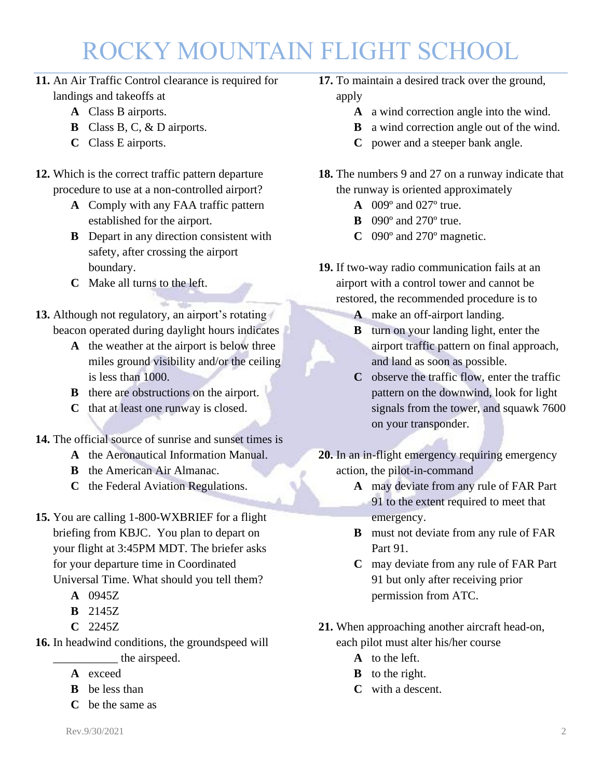- **11.** An Air Traffic Control clearance is required for landings and takeoffs at
	- **A** Class B airports.
	- **B** Class B, C, & D airports.
	- **C** Class E airports.
- **12.** Which is the correct traffic pattern departure procedure to use at a non-controlled airport?
	- **A** Comply with any FAA traffic pattern established for the airport.
	- **B** Depart in any direction consistent with safety, after crossing the airport boundary.
	- **C** Make all turns to the left.
- **13.** Although not regulatory, an airport's rotating beacon operated during daylight hours indicates
	- **A** the weather at the airport is below three miles ground visibility and/or the ceiling is less than 1000.
	- **B** there are obstructions on the airport.
	- **C** that at least one runway is closed.
- **14.** The official source of sunrise and sunset times is
	- **A** the Aeronautical Information Manual.
	- **B** the American Air Almanac.
	- **C** the Federal Aviation Regulations.
- **15.** You are calling 1-800-WXBRIEF for a flight briefing from KBJC. You plan to depart on your flight at 3:45PM MDT. The briefer asks for your departure time in Coordinated Universal Time. What should you tell them?
	- **A** 0945Z
	- **B** 2145Z
	- **C** 2245Z
- **16.** In headwind conditions, the groundspeed will \_\_\_\_\_\_\_\_\_\_\_ the airspeed.
	- **A** exceed
	- **B** be less than
	- **C** be the same as
- **17.** To maintain a desired track over the ground, apply
	- **A** a wind correction angle into the wind.
	- **B** a wind correction angle out of the wind.
	- **C** power and a steeper bank angle.
- **18.** The numbers 9 and 27 on a runway indicate that the runway is oriented approximately
	- **A** 009º and 027º true.
	- **B** 090º and 270º true.
	- **C** 090º and 270º magnetic.
- **19.** If two-way radio communication fails at an airport with a control tower and cannot be restored, the recommended procedure is to
	- **A** make an off-airport landing.
	- **B** turn on your landing light, enter the airport traffic pattern on final approach, and land as soon as possible.
	- **C** observe the traffic flow, enter the traffic pattern on the downwind, look for light signals from the tower, and squawk 7600 on your transponder.
- **20.** In an in-flight emergency requiring emergency action, the pilot-in-command
	- **A** may deviate from any rule of FAR Part 91 to the extent required to meet that emergency.
	- **B** must not deviate from any rule of FAR Part 91.
	- **C** may deviate from any rule of FAR Part 91 but only after receiving prior permission from ATC.
- **21.** When approaching another aircraft head-on, each pilot must alter his/her course
	- **A** to the left.
	- **B** to the right.
	- **C** with a descent.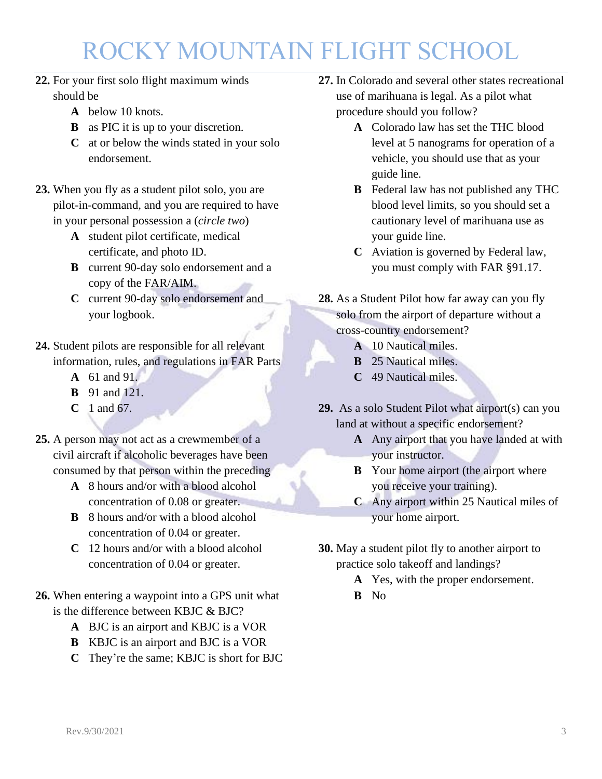- **22.** For your first solo flight maximum winds should be
	- **A** below 10 knots.
	- **B** as PIC it is up to your discretion.
	- **C** at or below the winds stated in your solo endorsement.
- **23.** When you fly as a student pilot solo, you are pilot-in-command, and you are required to have in your personal possession a (*circle two*)
	- **A** student pilot certificate, medical certificate, and photo ID.
	- **B** current 90-day solo endorsement and a copy of the FAR/AIM.
	- **C** current 90-day solo endorsement and your logbook.
- **24.** Student pilots are responsible for all relevant information, rules, and regulations in FAR Parts
	- **A** 61 and 91.
	- **B** 91 and 121.
	- **C** 1 and 67.
- **25.** A person may not act as a crewmember of a civil aircraft if alcoholic beverages have been consumed by that person within the preceding
	- **A** 8 hours and/or with a blood alcohol concentration of 0.08 or greater.
	- **B** 8 hours and/or with a blood alcohol concentration of 0.04 or greater.
	- **C** 12 hours and/or with a blood alcohol concentration of 0.04 or greater.
- **26.** When entering a waypoint into a GPS unit what is the difference between KBJC & BJC?
	- **A** BJC is an airport and KBJC is a VOR
	- **B** KBJC is an airport and BJC is a VOR
	- **C** They're the same; KBJC is short for BJC
- **27.** In Colorado and several other states recreational use of marihuana is legal. As a pilot what procedure should you follow?
	- **A** Colorado law has set the THC blood level at 5 nanograms for operation of a vehicle, you should use that as your guide line.
	- **B** Federal law has not published any THC blood level limits, so you should set a cautionary level of marihuana use as your guide line.
	- **C** Aviation is governed by Federal law, you must comply with FAR §91.17.
- **28.** As a Student Pilot how far away can you fly solo from the airport of departure without a cross-country endorsement?
	- **A** 10 Nautical miles.
	- **B** 25 Nautical miles.
	- **C** 49 Nautical miles.
- **29.** As a solo Student Pilot what airport(s) can you land at without a specific endorsement?
	- **A** Any airport that you have landed at with your instructor.
	- **B** Your home airport (the airport where you receive your training).
	- **C** Any airport within 25 Nautical miles of your home airport.
- **30.** May a student pilot fly to another airport to practice solo takeoff and landings?
	- **A** Yes, with the proper endorsement.
	- **B** No